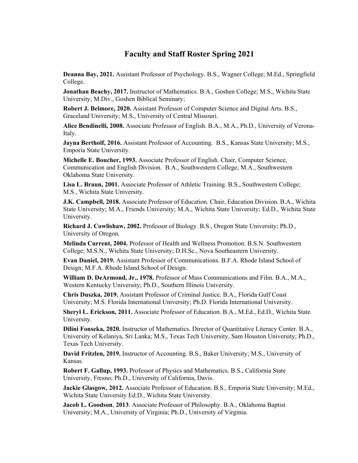## **Faculty and Staff Roster Spring 2021**

**Deanna Bay, 2021.** Assistant Professor of Psychology. B.S., Wagner College; M.Ed., Springfield College.

**Jonathan Beachy, 2017.** Instructor of Mathematics. B.A., Goshen College; M.S., Wichita State University; M.Div., Goshen Biblical Seminary;

**Robert J. Belmore, 2020.** Assistant Professor of Computer Science and Digital Arts. B.S., Graceland University; M.S., University of Central Missouri.

**Alice Bendinelli, 2008.** Associate Professor of English. B.A., M.A., Ph.D., University of Verona-Italy.

**Jayna Bertholf, 2016.** Assistant Professor of Accounting. B.S., Kansas State University; M.S., Emporia State University.

**Michelle E. Boucher, 1993.** Associate Professor of English. Chair, Computer Science, Communication and English Division. B.A., Southwestern College; M.A., Southwestern Oklahoma State University.

**Lisa L. Braun, 2001.** Associate Professor of Athletic Training. B.S., Southwestern College; M.S., Wichita State University.

**J.K. Campbell, 2018.** Associate Professor of Education. Chair, Education Division. B.A., Wichita State University; M.A., Friends University; M.A., Wichita State University; Ed.D., Wichita State University.

**Richard J. Cowlishaw, 2002.** Professor of Biology. B.S., Oregon State University; Ph.D., University of Oregon.

**Melinda Current, 2004.** Professor of Health and Wellness Promotion. B.S.N. Southwestern College; M.S.N., Wichita State University; D.H.Sc., Nova Southeastern University.

**Evan Daniel, 2019.** Assistant Professor of Communications. B.F.A. Rhode Island School of Design; M.F.A. Rhode Island School of Design.

**William D. DeArmond, Jr., 1978.** Professor of Mass Communications and Film. B.A., M.A., Western Kentucky University; Ph.D., Southern Illinois University.

**Chris Duszka, 2019.** Assistant Professor of Criminal Justice. B.A., Florida Gulf Coast University; M.S. Florida International University; Ph.D. Florida International University.

**Sheryl L. Erickson, 2011.** Associate Professor of Education. B.A., M.Ed., Ed.D., Wichita State University.

**Dilini Fonseka, 2020.** Instructor of Mathematics. Director of Quantitative Literacy Center. B.A., University of Kelaniya, Sri Lanka; M.S., Texas Tech University, Sam Houston University; Ph.D., Texas Tech University.

**David Fritzlen, 2019.** Instructor of Accounting. B.S., Baker University; M.S., University of Kansas.

**Robert F. Gallup, 1993.** Professor of Physics and Mathematics. B.S., California State University, Fresno; Ph.D., University of California, Davis.

**Jackie Glasgow, 2012.** Associate Professor of Education. B.S., Emporia State University; M.Ed., Wichita State University Ed.D., Wichita State University.

**Jacob L. Goodson**, **2013**. Associate Professor of Philosophy. B.A., Oklahoma Baptist University; M.A., University of Virginia; Ph.D., University of Virginia.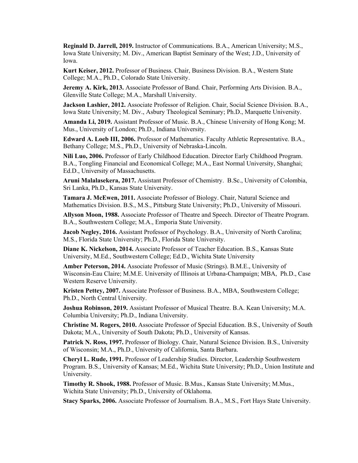**Reginald D. Jarrell, 2019.** Instructor of Communications. B.A., American University; M.S., Iowa State University; M. Div., American Baptist Seminary of the West; J.D., University of Iowa.

**Kurt Keiser, 2012.** Professor of Business. Chair, Business Division. B.A., Western State College; M.A., Ph.D., Colorado State University.

**Jeremy A. Kirk, 2013.** Associate Professor of Band. Chair, Performing Arts Division. B.A., Glenville State College; M.A., Marshall University.

**Jackson Lashier, 2012.** Associate Professor of Religion. Chair, Social Science Division. B.A., Iowa State University; M. Div., Asbury Theological Seminary; Ph.D., Marquette University.

**Amanda Li, 2019.** Assistant Professor of Music. B.A., Chinese University of Hong Kong; M. Mus., University of London; Ph.D., Indiana University.

**Edward A. Loeb III, 2006.** Professor of Mathematics. Faculty Athletic Representative. B.A., Bethany College; M.S., Ph.D., University of Nebraska-Lincoln.

**Nili Luo, 2006.** Professor of Early Childhood Education. Director Early Childhood Program. B.A., Tongling Financial and Economical College; M.A., East Normal University, Shanghai; Ed.D., University of Massachusetts.

**Aruni Malalasekera, 2017.** Assistant Professor of Chemistry. B.Sc., University of Colombia, Sri Lanka, Ph.D., Kansas State University.

**Tamara J. McEwen, 2011.** Associate Professor of Biology. Chair, Natural Science and Mathematics Division. B.S., M.S., Pittsburg State University; Ph.D., University of Missouri.

**Allyson Moon, 1988.** Associate Professor of Theatre and Speech. Director of Theatre Program. B.A., Southwestern College; M.A., Emporia State University.

**Jacob Negley, 2016.** Assistant Professor of Psychology. B.A., University of North Carolina; M.S., Florida State University; Ph.D., Florida State University.

**Diane K. Nickelson, 2014.** Associate Professor of Teacher Education. B.S., Kansas State University, M.Ed., Southwestern College; Ed.D., Wichita State University

**Amber Peterson, 2014.** Associate Professor of Music (Strings). B.M.E., University of Wisconsin-Eau Claire; M.M.E. University of Illinois at Urbana-Champaign; MBA, Ph.D., Case Western Reserve University.

**Kristen Pettey, 2007.** Associate Professor of Business. B.A., MBA, Southwestern College; Ph.D., North Central University.

**Joshua Robinson, 2019.** Assistant Professor of Musical Theatre. B.A. Kean University; M.A. Columbia University; Ph.D., Indiana University.

**Christine M. Rogers, 2010.** Associate Professor of Special Education. B.S., University of South Dakota; M.A., University of South Dakota; Ph.D., University of Kansas.

**Patrick N. Ross, 1997.** Professor of Biology. Chair, Natural Science Division. B.S., University of Wisconsin; M.A., Ph.D., University of California, Santa Barbara.

**Cheryl L. Rude, 1991.** Professor of Leadership Studies. Director, Leadership Southwestern Program. B.S., University of Kansas; M.Ed., Wichita State University; Ph.D., Union Institute and University.

**Timothy R. Shook, 1988.** Professor of Music. B.Mus., Kansas State University; M.Mus., Wichita State University; Ph.D., University of Oklahoma.

**Stacy Sparks, 2006.** Associate Professor of Journalism. B.A., M.S., Fort Hays State University.